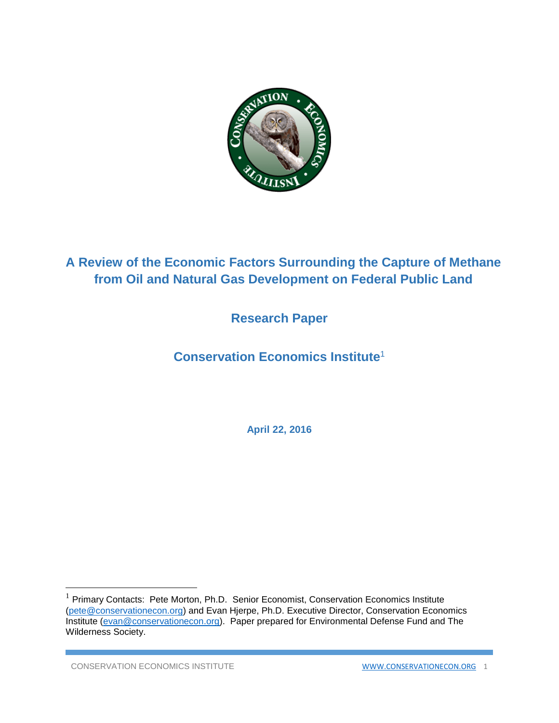

# **A Review of the Economic Factors Surrounding the Capture of Methane from Oil and Natural Gas Development on Federal Public Land**

## **Research Paper**

# **Conservation Economics Institute**<sup>1</sup>

**April 22, 2016**

 $\overline{\phantom{a}}$ 

 $1$  Primary Contacts: Pete Morton, Ph.D. Senior Economist, Conservation Economics Institute [\(pete@conservationecon.org\)](mailto:pete@conservationecon.org) and Evan Hjerpe, Ph.D. Executive Director, Conservation Economics Institute [\(evan@conservationecon.org\)](mailto:evan@conservationecon.org). Paper prepared for Environmental Defense Fund and The Wilderness Society.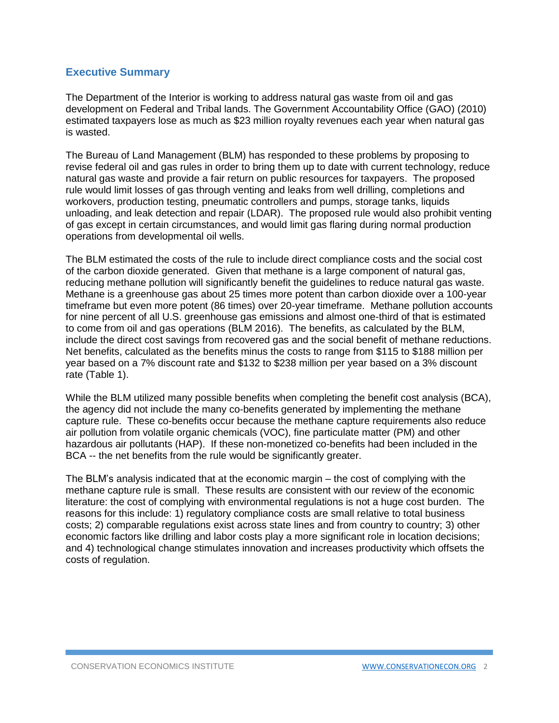## **Executive Summary**

The Department of the Interior is working to address natural gas waste from oil and gas development on Federal and Tribal lands. The Government Accountability Office (GAO) (2010) estimated taxpayers lose as much as \$23 million royalty revenues each year when natural gas is wasted.

The Bureau of Land Management (BLM) has responded to these problems by proposing to revise federal oil and gas rules in order to bring them up to date with current technology, reduce natural gas waste and provide a fair return on public resources for taxpayers. The proposed rule would limit losses of gas through venting and leaks from well drilling, completions and workovers, production testing, pneumatic controllers and pumps, storage tanks, liquids unloading, and leak detection and repair (LDAR). The proposed rule would also prohibit venting of gas except in certain circumstances, and would limit gas flaring during normal production operations from developmental oil wells.

The BLM estimated the costs of the rule to include direct compliance costs and the social cost of the carbon dioxide generated. Given that methane is a large component of natural gas, reducing methane pollution will significantly benefit the guidelines to reduce natural gas waste. Methane is a greenhouse gas about 25 times more potent than carbon dioxide over a 100-year timeframe but even more potent (86 times) over 20-year timeframe. Methane pollution accounts for nine percent of all U.S. greenhouse gas emissions and almost one-third of that is estimated to come from oil and gas operations (BLM 2016). The benefits, as calculated by the BLM, include the direct cost savings from recovered gas and the social benefit of methane reductions. Net benefits, calculated as the benefits minus the costs to range from \$115 to \$188 million per year based on a 7% discount rate and \$132 to \$238 million per year based on a 3% discount rate (Table 1).

While the BLM utilized many possible benefits when completing the benefit cost analysis (BCA), the agency did not include the many co-benefits generated by implementing the methane capture rule. These co-benefits occur because the methane capture requirements also reduce air pollution from volatile organic chemicals (VOC), fine particulate matter (PM) and other hazardous air pollutants (HAP). If these non-monetized co-benefits had been included in the BCA -- the net benefits from the rule would be significantly greater.

The BLM's analysis indicated that at the economic margin – the cost of complying with the methane capture rule is small. These results are consistent with our review of the economic literature: the cost of complying with environmental regulations is not a huge cost burden. The reasons for this include: 1) regulatory compliance costs are small relative to total business costs; 2) comparable regulations exist across state lines and from country to country; 3) other economic factors like drilling and labor costs play a more significant role in location decisions; and 4) technological change stimulates innovation and increases productivity which offsets the costs of regulation.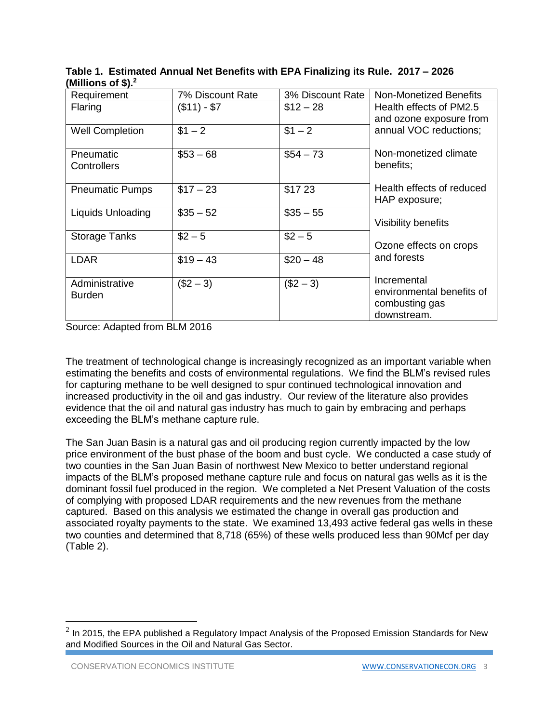| Requirement            | 7% Discount Rate | 3% Discount Rate | <b>Non-Monetized Benefits</b> |  |  |  |  |
|------------------------|------------------|------------------|-------------------------------|--|--|--|--|
| Flaring                | $($11) - $7$     | $$12 - 28$       | Health effects of PM2.5       |  |  |  |  |
|                        |                  |                  | and ozone exposure from       |  |  |  |  |
| <b>Well Completion</b> | $$1 - 2$         | $$1 - 2$         | annual VOC reductions;        |  |  |  |  |
|                        |                  |                  |                               |  |  |  |  |
| Pneumatic              | $$53 - 68$       | $$54 - 73$       | Non-monetized climate         |  |  |  |  |
| Controllers            |                  |                  | benefits;                     |  |  |  |  |
|                        |                  |                  |                               |  |  |  |  |
| <b>Pneumatic Pumps</b> | $$17 - 23$       | \$1723           | Health effects of reduced     |  |  |  |  |
|                        |                  |                  | HAP exposure;                 |  |  |  |  |
| Liquids Unloading      | $$35 - 52$       | $$35 - 55$       |                               |  |  |  |  |
|                        |                  |                  | Visibility benefits           |  |  |  |  |
| <b>Storage Tanks</b>   | $$2 - 5$         | $$2 - 5$         |                               |  |  |  |  |
|                        |                  |                  | Ozone effects on crops        |  |  |  |  |
| <b>LDAR</b>            | $$19 - 43$       | $$20 - 48$       | and forests                   |  |  |  |  |
|                        |                  |                  |                               |  |  |  |  |
| Administrative         | $($2 - 3)$       | $($2 - 3)$       | Incremental                   |  |  |  |  |
| <b>Burden</b>          |                  |                  | environmental benefits of     |  |  |  |  |
|                        |                  |                  | combusting gas                |  |  |  |  |
|                        |                  |                  | downstream.                   |  |  |  |  |

**Table 1. Estimated Annual Net Benefits with EPA Finalizing its Rule. 2017 – 2026 (Millions of \$). 2**

Source: Adapted from BLM 2016

The treatment of technological change is increasingly recognized as an important variable when estimating the benefits and costs of environmental regulations. We find the BLM's revised rules for capturing methane to be well designed to spur continued technological innovation and increased productivity in the oil and gas industry. Our review of the literature also provides evidence that the oil and natural gas industry has much to gain by embracing and perhaps exceeding the BLM's methane capture rule.

The San Juan Basin is a natural gas and oil producing region currently impacted by the low price environment of the bust phase of the boom and bust cycle. We conducted a case study of two counties in the San Juan Basin of northwest New Mexico to better understand regional impacts of the BLM's proposed methane capture rule and focus on natural gas wells as it is the dominant fossil fuel produced in the region. We completed a Net Present Valuation of the costs of complying with proposed LDAR requirements and the new revenues from the methane captured. Based on this analysis we estimated the change in overall gas production and associated royalty payments to the state. We examined 13,493 active federal gas wells in these two counties and determined that 8,718 (65%) of these wells produced less than 90Mcf per day (Table 2).

 $\overline{a}$ 

 $^2$  In 2015, the EPA published a Regulatory Impact Analysis of the Proposed Emission Standards for New and Modified Sources in the Oil and Natural Gas Sector.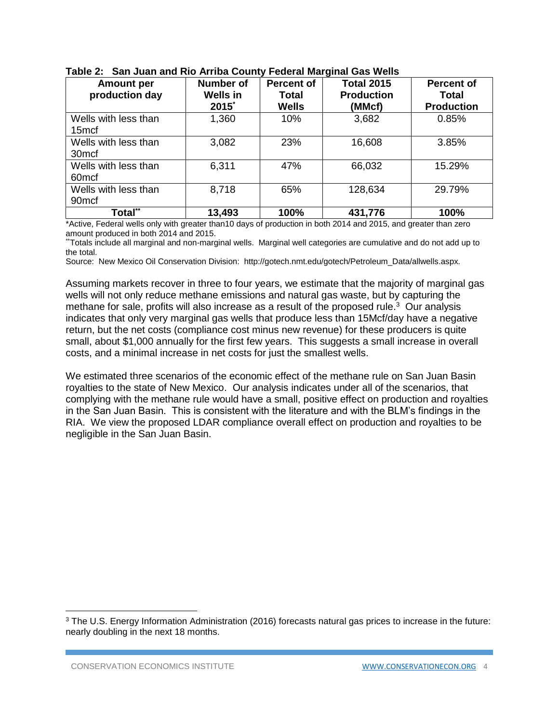| <b>Amount per</b><br>production day       | <b>Number of</b><br><b>Wells in</b><br>$2015^*$ | <b>Percent of</b><br>Total<br><b>Wells</b> | <b>Total 2015</b><br><b>Production</b><br>(MMcf) | <b>Percent of</b><br><b>Total</b><br><b>Production</b> |
|-------------------------------------------|-------------------------------------------------|--------------------------------------------|--------------------------------------------------|--------------------------------------------------------|
| Wells with less than<br>15 <sub>mcf</sub> | 1,360                                           | 10%                                        | 3,682                                            | 0.85%                                                  |
| Wells with less than<br>30 <sub>mcf</sub> | 3,082                                           | 23%                                        | 16,608                                           | 3.85%                                                  |
| Wells with less than<br>60 <sub>mcf</sub> | 6,311                                           | 47%                                        | 66,032                                           | 15.29%                                                 |
| Wells with less than<br>90 <sub>mcf</sub> | 8,718                                           | 65%                                        | 128,634                                          | 29.79%                                                 |
| Total**                                   | 13,493                                          | 100%                                       | 431,776                                          | 100%                                                   |

**Table 2: San Juan and Rio Arriba County Federal Marginal Gas Wells**

\*Active, Federal wells only with greater than10 days of production in both 2014 and 2015, and greater than zero amount produced in both 2014 and 2015.

\*\*Totals include all marginal and non-marginal wells. Marginal well categories are cumulative and do not add up to the total.

Source: New Mexico Oil Conservation Division: http://gotech.nmt.edu/gotech/Petroleum\_Data/allwells.aspx.

Assuming markets recover in three to four years, we estimate that the majority of marginal gas wells will not only reduce methane emissions and natural gas waste, but by capturing the methane for sale, profits will also increase as a result of the proposed rule. $3$  Our analysis indicates that only very marginal gas wells that produce less than 15Mcf/day have a negative return, but the net costs (compliance cost minus new revenue) for these producers is quite small, about \$1,000 annually for the first few years. This suggests a small increase in overall costs, and a minimal increase in net costs for just the smallest wells.

We estimated three scenarios of the economic effect of the methane rule on San Juan Basin royalties to the state of New Mexico. Our analysis indicates under all of the scenarios, that complying with the methane rule would have a small, positive effect on production and royalties in the San Juan Basin. This is consistent with the literature and with the BLM's findings in the RIA. We view the proposed LDAR compliance overall effect on production and royalties to be negligible in the San Juan Basin.

l

<sup>3</sup> The U.S. Energy Information Administration (2016) forecasts natural gas prices to increase in the future: nearly doubling in the next 18 months.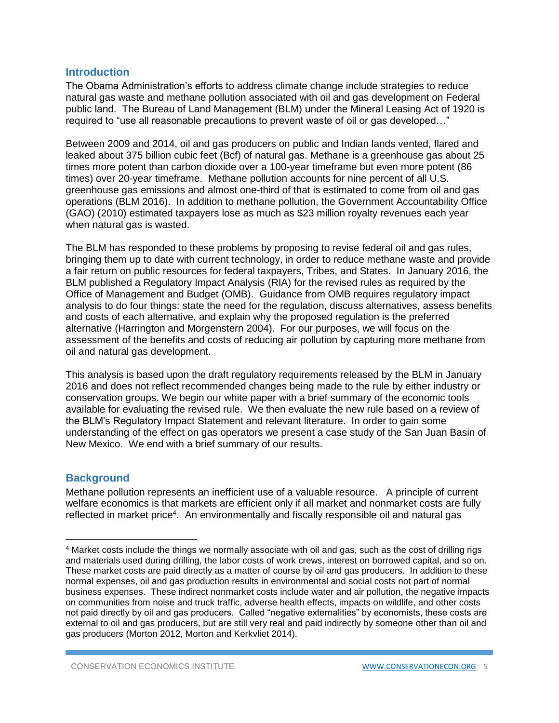## **Introduction**

The Obama Administration's efforts to address climate change include strategies to reduce natural gas waste and methane pollution associated with oil and gas development on Federal public land. The Bureau of Land Management (BLM) under the Mineral Leasing Act of 1920 is required to "use all reasonable precautions to prevent waste of oil or gas developed…"

Between 2009 and 2014, oil and gas producers on public and Indian lands vented, flared and leaked about 375 billion cubic feet (Bcf) of natural gas. Methane is a greenhouse gas about 25 times more potent than carbon dioxide over a 100-year timeframe but even more potent (86 times) over 20-year timeframe. Methane pollution accounts for nine percent of all U.S. greenhouse gas emissions and almost one-third of that is estimated to come from oil and gas operations (BLM 2016). In addition to methane pollution, the Government Accountability Office (GAO) (2010) estimated taxpayers lose as much as \$23 million royalty revenues each year when natural gas is wasted.

The BLM has responded to these problems by proposing to revise federal oil and gas rules, bringing them up to date with current technology, in order to reduce methane waste and provide a fair return on public resources for federal taxpayers, Tribes, and States. In January 2016, the BLM published a Regulatory Impact Analysis (RIA) for the revised rules as required by the Office of Management and Budget (OMB). Guidance from OMB requires regulatory impact analysis to do four things: state the need for the regulation, discuss alternatives, assess benefits and costs of each alternative, and explain why the proposed regulation is the preferred alternative (Harrington and Morgenstern 2004). For our purposes, we will focus on the assessment of the benefits and costs of reducing air pollution by capturing more methane from oil and natural gas development.

This analysis is based upon the draft regulatory requirements released by the BLM in January 2016 and does not reflect recommended changes being made to the rule by either industry or conservation groups. We begin our white paper with a brief summary of the economic tools available for evaluating the revised rule. We then evaluate the new rule based on a review of the BLM's Regulatory Impact Statement and relevant literature. In order to gain some understanding of the effect on gas operators we present a case study of the San Juan Basin of New Mexico. We end with a brief summary of our results.

## **Background**

 $\overline{\phantom{a}}$ 

Methane pollution represents an inefficient use of a valuable resource. A principle of current welfare economics is that markets are efficient only if all market and nonmarket costs are fully reflected in market price<sup>4</sup>. An environmentally and fiscally responsible oil and natural gas

<sup>4</sup> Market costs include the things we normally associate with oil and gas, such as the cost of drilling rigs and materials used during drilling, the labor costs of work crews, interest on borrowed capital, and so on. These market costs are paid directly as a matter of course by oil and gas producers. In addition to these normal expenses, oil and gas production results in environmental and social costs not part of normal business expenses. These indirect nonmarket costs include water and air pollution, the negative impacts on communities from noise and truck traffic, adverse health effects, impacts on wildlife, and other costs not paid directly by oil and gas producers. Called "negative externalities" by economists, these costs are external to oil and gas producers, but are still very real and paid indirectly by someone other than oil and gas producers (Morton 2012, Morton and Kerkvliet 2014).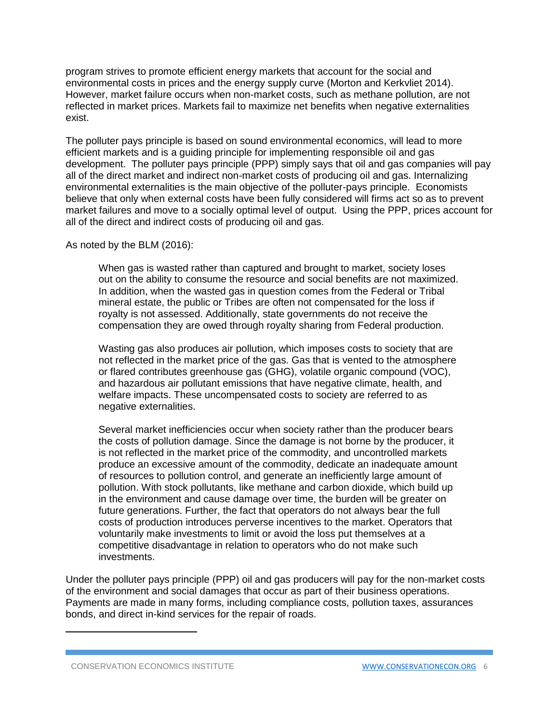program strives to promote efficient energy markets that account for the social and environmental costs in prices and the energy supply curve (Morton and Kerkvliet 2014). However, market failure occurs when non-market costs, such as methane pollution, are not reflected in market prices. Markets fail to maximize net benefits when negative externalities exist.

The polluter pays principle is based on sound environmental economics, will lead to more efficient markets and is a guiding principle for implementing responsible oil and gas development. The polluter pays principle (PPP) simply says that oil and gas companies will pay all of the direct market and indirect non-market costs of producing oil and gas. Internalizing environmental externalities is the main objective of the polluter-pays principle. Economists believe that only when external costs have been fully considered will firms act so as to prevent market failures and move to a socially optimal level of output. Using the PPP, prices account for all of the direct and indirect costs of producing oil and gas.

#### As noted by the BLM (2016):

When gas is wasted rather than captured and brought to market, society loses out on the ability to consume the resource and social benefits are not maximized. In addition, when the wasted gas in question comes from the Federal or Tribal mineral estate, the public or Tribes are often not compensated for the loss if royalty is not assessed. Additionally, state governments do not receive the compensation they are owed through royalty sharing from Federal production.

Wasting gas also produces air pollution, which imposes costs to society that are not reflected in the market price of the gas. Gas that is vented to the atmosphere or flared contributes greenhouse gas (GHG), volatile organic compound (VOC), and hazardous air pollutant emissions that have negative climate, health, and welfare impacts. These uncompensated costs to society are referred to as negative externalities.

Several market inefficiencies occur when society rather than the producer bears the costs of pollution damage. Since the damage is not borne by the producer, it is not reflected in the market price of the commodity, and uncontrolled markets produce an excessive amount of the commodity, dedicate an inadequate amount of resources to pollution control, and generate an inefficiently large amount of pollution. With stock pollutants, like methane and carbon dioxide, which build up in the environment and cause damage over time, the burden will be greater on future generations. Further, the fact that operators do not always bear the full costs of production introduces perverse incentives to the market. Operators that voluntarily make investments to limit or avoid the loss put themselves at a competitive disadvantage in relation to operators who do not make such investments.

Under the polluter pays principle (PPP) oil and gas producers will pay for the non-market costs of the environment and social damages that occur as part of their business operations. Payments are made in many forms, including compliance costs, pollution taxes, assurances bonds, and direct in-kind services for the repair of roads.

 $\overline{\phantom{a}}$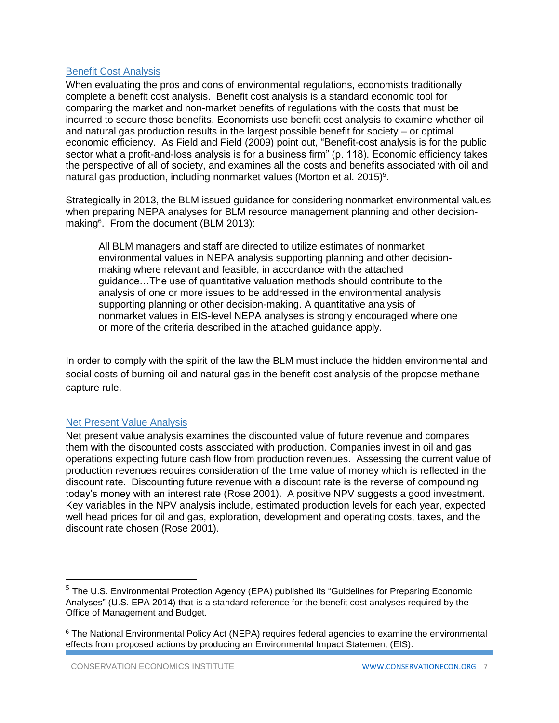#### Benefit Cost Analysis

When evaluating the pros and cons of environmental regulations, economists traditionally complete a benefit cost analysis. Benefit cost analysis is a standard economic tool for comparing the market and non-market benefits of regulations with the costs that must be incurred to secure those benefits. Economists use benefit cost analysis to examine whether oil and natural gas production results in the largest possible benefit for society – or optimal economic efficiency. As Field and Field (2009) point out, "Benefit-cost analysis is for the public sector what a profit-and-loss analysis is for a business firm" (p. 118). Economic efficiency takes the perspective of all of society, and examines all the costs and benefits associated with oil and natural gas production, including nonmarket values (Morton et al. 2015)<sup>5</sup>.

Strategically in 2013, the BLM issued guidance for considering nonmarket environmental values when preparing NEPA analyses for BLM resource management planning and other decisionmaking<sup>6</sup>. From the document (BLM 2013):

All BLM managers and staff are directed to utilize estimates of nonmarket environmental values in NEPA analysis supporting planning and other decisionmaking where relevant and feasible, in accordance with the attached guidance…The use of quantitative valuation methods should contribute to the analysis of one or more issues to be addressed in the environmental analysis supporting planning or other decision-making. A quantitative analysis of nonmarket values in EIS-level NEPA analyses is strongly encouraged where one or more of the criteria described in the attached guidance apply.

In order to comply with the spirit of the law the BLM must include the hidden environmental and social costs of burning oil and natural gas in the benefit cost analysis of the propose methane capture rule.

#### Net Present Value Analysis

 $\overline{\phantom{a}}$ 

Net present value analysis examines the discounted value of future revenue and compares them with the discounted costs associated with production. Companies invest in oil and gas operations expecting future cash flow from production revenues. Assessing the current value of production revenues requires consideration of the time value of money which is reflected in the discount rate. Discounting future revenue with a discount rate is the reverse of compounding today's money with an interest rate (Rose 2001). A positive NPV suggests a good investment. Key variables in the NPV analysis include, estimated production levels for each year, expected well head prices for oil and gas, exploration, development and operating costs, taxes, and the discount rate chosen (Rose 2001).

 $5$  The U.S. Environmental Protection Agency (EPA) published its "Guidelines for Preparing Economic Analyses" (U.S. EPA 2014) that is a standard reference for the benefit cost analyses required by the Office of Management and Budget.

<sup>6</sup> The National Environmental Policy Act (NEPA) requires federal agencies to examine the environmental effects from proposed actions by producing an Environmental Impact Statement (EIS).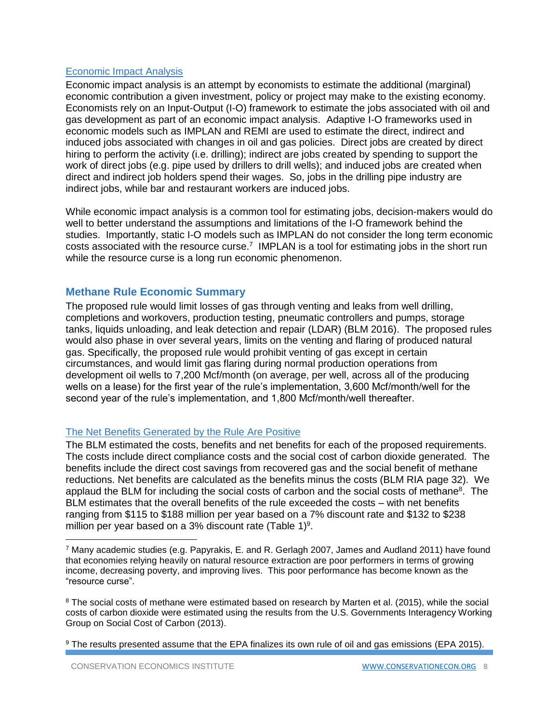## Economic Impact Analysis

Economic impact analysis is an attempt by economists to estimate the additional (marginal) economic contribution a given investment, policy or project may make to the existing economy. Economists rely on an Input-Output (I-O) framework to estimate the jobs associated with oil and gas development as part of an economic impact analysis. Adaptive I-O frameworks used in economic models such as IMPLAN and REMI are used to estimate the direct, indirect and induced jobs associated with changes in oil and gas policies. Direct jobs are created by direct hiring to perform the activity (i.e. drilling); indirect are jobs created by spending to support the work of direct jobs (e.g. pipe used by drillers to drill wells); and induced jobs are created when direct and indirect job holders spend their wages. So, jobs in the drilling pipe industry are indirect jobs, while bar and restaurant workers are induced jobs.

While economic impact analysis is a common tool for estimating jobs, decision-makers would do well to better understand the assumptions and limitations of the I-O framework behind the studies. Importantly, static I-O models such as IMPLAN do not consider the long term economic costs associated with the resource curse.<sup>7</sup> IMPLAN is a tool for estimating jobs in the short run while the resource curse is a long run economic phenomenon.

## **Methane Rule Economic Summary**

The proposed rule would limit losses of gas through venting and leaks from well drilling, completions and workovers, production testing, pneumatic controllers and pumps, storage tanks, liquids unloading, and leak detection and repair (LDAR) (BLM 2016). The proposed rules would also phase in over several years, limits on the venting and flaring of produced natural gas. Specifically, the proposed rule would prohibit venting of gas except in certain circumstances, and would limit gas flaring during normal production operations from development oil wells to 7,200 Mcf/month (on average, per well, across all of the producing wells on a lease) for the first year of the rule's implementation, 3,600 Mcf/month/well for the second year of the rule's implementation, and 1,800 Mcf/month/well thereafter.

#### The Net Benefits Generated by the Rule Are Positive

The BLM estimated the costs, benefits and net benefits for each of the proposed requirements. The costs include direct compliance costs and the social cost of carbon dioxide generated. The benefits include the direct cost savings from recovered gas and the social benefit of methane reductions. Net benefits are calculated as the benefits minus the costs (BLM RIA page 32). We applaud the BLM for including the social costs of carbon and the social costs of methane<sup>8</sup>. The BLM estimates that the overall benefits of the rule exceeded the costs – with net benefits ranging from \$115 to \$188 million per year based on a 7% discount rate and \$132 to \$238 million per year based on a 3% discount rate (Table 1)<sup>9</sup>.

<sup>8</sup> The social costs of methane were estimated based on research by Marten et al. (2015), while the social costs of carbon dioxide were estimated using the results from the U.S. Governments Interagency Working Group on Social Cost of Carbon (2013).

 $\overline{\phantom{a}}$ 

 $7$  Many academic studies (e.g. Papyrakis, E. and R. Gerlagh 2007, James and Audland 2011) have found that economies relying heavily on natural resource extraction are poor performers in terms of growing income, decreasing poverty, and improving lives. This poor performance has become known as the "resource curse".

<sup>9</sup> The results presented assume that the EPA finalizes its own rule of oil and gas emissions (EPA 2015).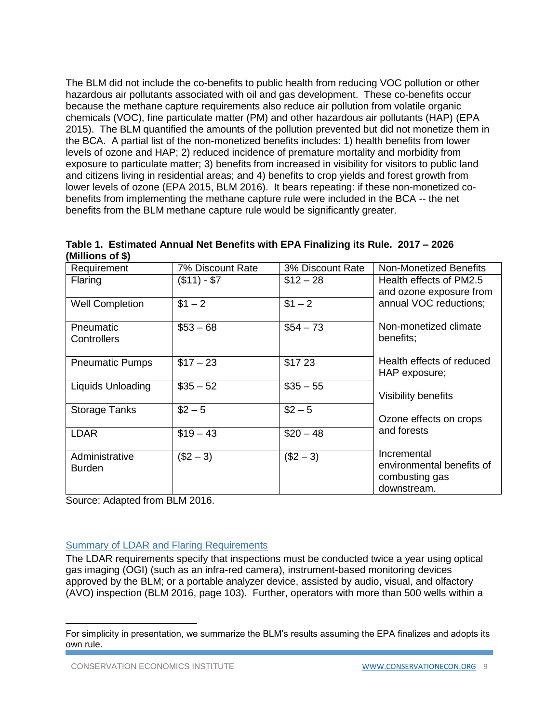The BLM did not include the co-benefits to public health from reducing VOC pollution or other hazardous air pollutants associated with oil and gas development. These co-benefits occur because the methane capture requirements also reduce air pollution from volatile organic chemicals (VOC), fine particulate matter (PM) and other hazardous air pollutants (HAP) (EPA 2015). The BLM quantified the amounts of the pollution prevented but did not monetize them in the BCA. A partial list of the non-monetized benefits includes: 1) health benefits from lower levels of ozone and HAP; 2) reduced incidence of premature mortality and morbidity from exposure to particulate matter; 3) benefits from increased in visibility for visitors to public land and citizens living in residential areas; and 4) benefits to crop yields and forest growth from lower levels of ozone (EPA 2015, BLM 2016). It bears repeating: if these non-monetized cobenefits from implementing the methane capture rule were included in the BCA -- the net benefits from the BLM methane capture rule would be significantly greater.

|                  | Table 1. Estimated Annual Net Benefits with EPA Finalizing its Rule. 2017 - 2026 |  |  |  |
|------------------|----------------------------------------------------------------------------------|--|--|--|
| (Millions of \$) |                                                                                  |  |  |  |

| Requirement                     | 7% Discount Rate | 3% Discount Rate | Non-Monetized Benefits                                                    |
|---------------------------------|------------------|------------------|---------------------------------------------------------------------------|
| Flaring                         | $($11) - $7$     | $$12 - 28$       | Health effects of PM2.5<br>and ozone exposure from                        |
| <b>Well Completion</b>          | $$1 - 2$         | $$1 - 2$         | annual VOC reductions;                                                    |
| Pneumatic<br>Controllers        | $$53 - 68$       | $$54 - 73$       | Non-monetized climate<br>benefits;                                        |
| <b>Pneumatic Pumps</b>          | $$17 - 23$       | \$1723           | Health effects of reduced<br>HAP exposure;                                |
| Liquids Unloading               | $$35 - 52$       | $$35 - 55$       | Visibility benefits                                                       |
| <b>Storage Tanks</b>            | $$2 - 5$         | $$2 - 5$         | Ozone effects on crops                                                    |
| <b>LDAR</b>                     | $$19 - 43$       | $$20 - 48$       | and forests                                                               |
| Administrative<br><b>Burden</b> | $($2 - 3)$       | $($2 - 3)$       | Incremental<br>environmental benefits of<br>combusting gas<br>downstream. |

Source: Adapted from BLM 2016.

## Summary of LDAR and Flaring Requirements

The LDAR requirements specify that inspections must be conducted twice a year using optical gas imaging (OGI) (such as an infra-red camera), instrument-based monitoring devices approved by the BLM; or a portable analyzer device, assisted by audio, visual, and olfactory (AVO) inspection (BLM 2016, page 103). Further, operators with more than 500 wells within a

 $\overline{a}$ 

For simplicity in presentation, we summarize the BLM's results assuming the EPA finalizes and adopts its own rule.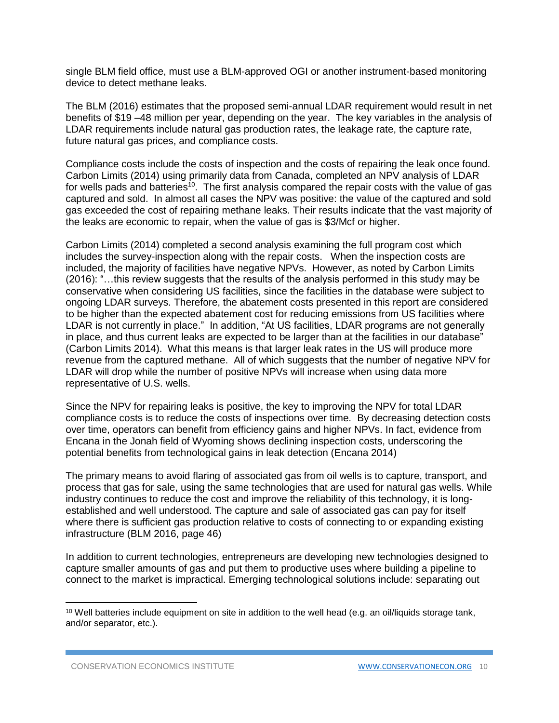single BLM field office, must use a BLM-approved OGI or another instrument-based monitoring device to detect methane leaks.

The BLM (2016) estimates that the proposed semi-annual LDAR requirement would result in net benefits of \$19 –48 million per year, depending on the year. The key variables in the analysis of LDAR requirements include natural gas production rates, the leakage rate, the capture rate, future natural gas prices, and compliance costs.

Compliance costs include the costs of inspection and the costs of repairing the leak once found. Carbon Limits (2014) using primarily data from Canada, completed an NPV analysis of LDAR for wells pads and batteries<sup>10</sup>. The first analysis compared the repair costs with the value of gas captured and sold. In almost all cases the NPV was positive: the value of the captured and sold gas exceeded the cost of repairing methane leaks. Their results indicate that the vast majority of the leaks are economic to repair, when the value of gas is \$3/Mcf or higher.

Carbon Limits (2014) completed a second analysis examining the full program cost which includes the survey-inspection along with the repair costs. When the inspection costs are included, the majority of facilities have negative NPVs. However, as noted by Carbon Limits (2016): "…this review suggests that the results of the analysis performed in this study may be conservative when considering US facilities, since the facilities in the database were subject to ongoing LDAR surveys. Therefore, the abatement costs presented in this report are considered to be higher than the expected abatement cost for reducing emissions from US facilities where LDAR is not currently in place." In addition, "At US facilities, LDAR programs are not generally in place, and thus current leaks are expected to be larger than at the facilities in our database" (Carbon Limits 2014). What this means is that larger leak rates in the US will produce more revenue from the captured methane. All of which suggests that the number of negative NPV for LDAR will drop while the number of positive NPVs will increase when using data more representative of U.S. wells.

Since the NPV for repairing leaks is positive, the key to improving the NPV for total LDAR compliance costs is to reduce the costs of inspections over time. By decreasing detection costs over time, operators can benefit from efficiency gains and higher NPVs. In fact, evidence from Encana in the Jonah field of Wyoming shows declining inspection costs, underscoring the potential benefits from technological gains in leak detection (Encana 2014)

The primary means to avoid flaring of associated gas from oil wells is to capture, transport, and process that gas for sale, using the same technologies that are used for natural gas wells. While industry continues to reduce the cost and improve the reliability of this technology, it is longestablished and well understood. The capture and sale of associated gas can pay for itself where there is sufficient gas production relative to costs of connecting to or expanding existing infrastructure (BLM 2016, page 46)

In addition to current technologies, entrepreneurs are developing new technologies designed to capture smaller amounts of gas and put them to productive uses where building a pipeline to connect to the market is impractical. Emerging technological solutions include: separating out

 $\overline{\phantom{a}}$ 

<sup>&</sup>lt;sup>10</sup> Well batteries include equipment on site in addition to the well head (e.g. an oil/liquids storage tank, and/or separator, etc.).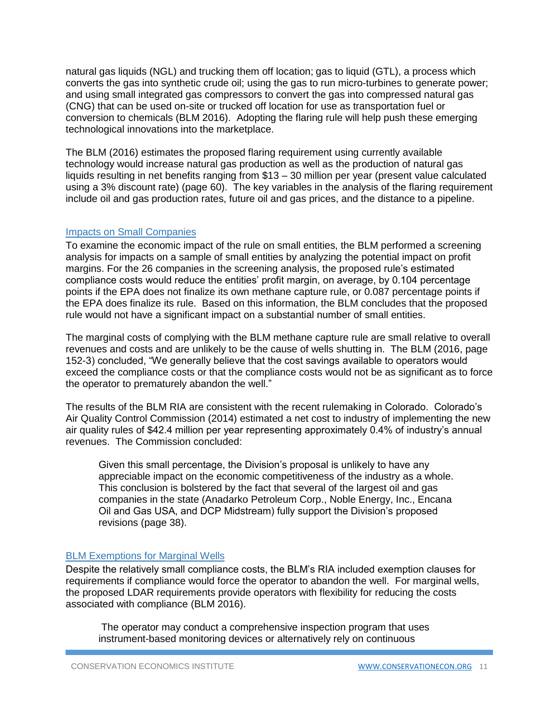natural gas liquids (NGL) and trucking them off location; gas to liquid (GTL), a process which converts the gas into synthetic crude oil; using the gas to run micro-turbines to generate power; and using small integrated gas compressors to convert the gas into compressed natural gas (CNG) that can be used on-site or trucked off location for use as transportation fuel or conversion to chemicals (BLM 2016). Adopting the flaring rule will help push these emerging technological innovations into the marketplace.

The BLM (2016) estimates the proposed flaring requirement using currently available technology would increase natural gas production as well as the production of natural gas liquids resulting in net benefits ranging from \$13 – 30 million per year (present value calculated using a 3% discount rate) (page 60). The key variables in the analysis of the flaring requirement include oil and gas production rates, future oil and gas prices, and the distance to a pipeline.

#### Impacts on Small Companies

To examine the economic impact of the rule on small entities, the BLM performed a screening analysis for impacts on a sample of small entities by analyzing the potential impact on profit margins. For the 26 companies in the screening analysis, the proposed rule's estimated compliance costs would reduce the entities' profit margin, on average, by 0.104 percentage points if the EPA does not finalize its own methane capture rule, or 0.087 percentage points if the EPA does finalize its rule. Based on this information, the BLM concludes that the proposed rule would not have a significant impact on a substantial number of small entities.

The marginal costs of complying with the BLM methane capture rule are small relative to overall revenues and costs and are unlikely to be the cause of wells shutting in. The BLM (2016, page 152-3) concluded, "We generally believe that the cost savings available to operators would exceed the compliance costs or that the compliance costs would not be as significant as to force the operator to prematurely abandon the well."

The results of the BLM RIA are consistent with the recent rulemaking in Colorado. Colorado's Air Quality Control Commission (2014) estimated a net cost to industry of implementing the new air quality rules of \$42.4 million per year representing approximately 0.4% of industry's annual revenues. The Commission concluded:

Given this small percentage, the Division's proposal is unlikely to have any appreciable impact on the economic competitiveness of the industry as a whole. This conclusion is bolstered by the fact that several of the largest oil and gas companies in the state (Anadarko Petroleum Corp., Noble Energy, Inc., Encana Oil and Gas USA, and DCP Midstream) fully support the Division's proposed revisions (page 38).

#### BLM Exemptions for Marginal Wells

Despite the relatively small compliance costs, the BLM's RIA included exemption clauses for requirements if compliance would force the operator to abandon the well. For marginal wells, the proposed LDAR requirements provide operators with flexibility for reducing the costs associated with compliance (BLM 2016).

The operator may conduct a comprehensive inspection program that uses instrument-based monitoring devices or alternatively rely on continuous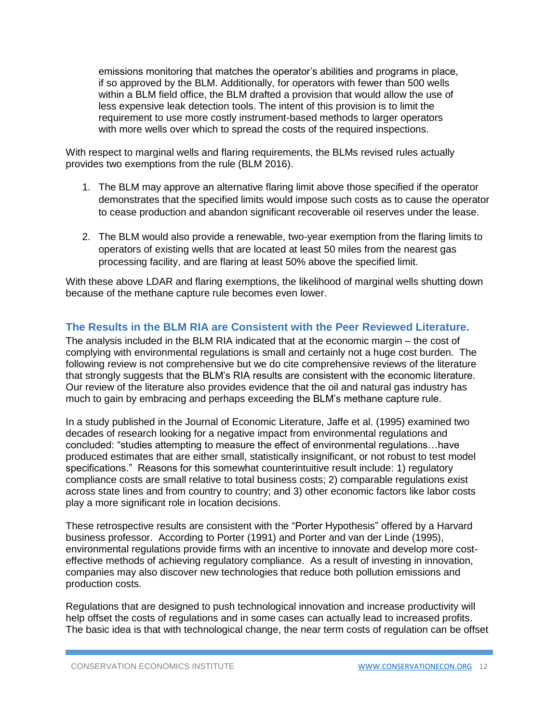emissions monitoring that matches the operator's abilities and programs in place, if so approved by the BLM. Additionally, for operators with fewer than 500 wells within a BLM field office, the BLM drafted a provision that would allow the use of less expensive leak detection tools. The intent of this provision is to limit the requirement to use more costly instrument-based methods to larger operators with more wells over which to spread the costs of the required inspections.

With respect to marginal wells and flaring requirements, the BLMs revised rules actually provides two exemptions from the rule (BLM 2016).

- 1. The BLM may approve an alternative flaring limit above those specified if the operator demonstrates that the specified limits would impose such costs as to cause the operator to cease production and abandon significant recoverable oil reserves under the lease.
- 2. The BLM would also provide a renewable, two-year exemption from the flaring limits to operators of existing wells that are located at least 50 miles from the nearest gas processing facility, and are flaring at least 50% above the specified limit.

With these above LDAR and flaring exemptions, the likelihood of marginal wells shutting down because of the methane capture rule becomes even lower.

## **The Results in the BLM RIA are Consistent with the Peer Reviewed Literature.**

The analysis included in the BLM RIA indicated that at the economic margin – the cost of complying with environmental regulations is small and certainly not a huge cost burden. The following review is not comprehensive but we do cite comprehensive reviews of the literature that strongly suggests that the BLM's RIA results are consistent with the economic literature. Our review of the literature also provides evidence that the oil and natural gas industry has much to gain by embracing and perhaps exceeding the BLM's methane capture rule.

In a study published in the Journal of Economic Literature, Jaffe et al. (1995) examined two decades of research looking for a negative impact from environmental regulations and concluded: "studies attempting to measure the effect of environmental regulations…have produced estimates that are either small, statistically insignificant, or not robust to test model specifications." Reasons for this somewhat counterintuitive result include: 1) regulatory compliance costs are small relative to total business costs; 2) comparable regulations exist across state lines and from country to country; and 3) other economic factors like labor costs play a more significant role in location decisions.

These retrospective results are consistent with the "Porter Hypothesis" offered by a Harvard business professor. According to Porter (1991) and Porter and van der Linde (1995), environmental regulations provide firms with an incentive to innovate and develop more costeffective methods of achieving regulatory compliance. As a result of investing in innovation, companies may also discover new technologies that reduce both pollution emissions and production costs.

Regulations that are designed to push technological innovation and increase productivity will help offset the costs of regulations and in some cases can actually lead to increased profits. The basic idea is that with technological change, the near term costs of regulation can be offset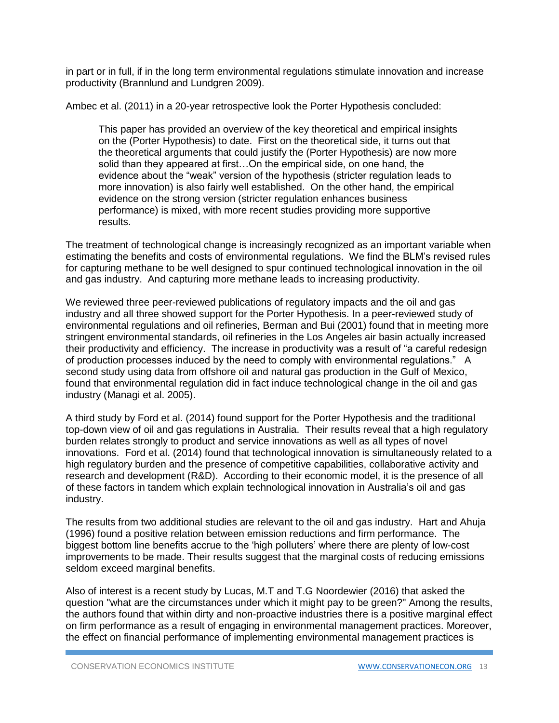in part or in full, if in the long term environmental regulations stimulate innovation and increase productivity (Brannlund and Lundgren 2009).

Ambec et al. (2011) in a 20-year retrospective look the Porter Hypothesis concluded:

This paper has provided an overview of the key theoretical and empirical insights on the (Porter Hypothesis) to date. First on the theoretical side, it turns out that the theoretical arguments that could justify the (Porter Hypothesis) are now more solid than they appeared at first…On the empirical side, on one hand, the evidence about the "weak" version of the hypothesis (stricter regulation leads to more innovation) is also fairly well established. On the other hand, the empirical evidence on the strong version (stricter regulation enhances business performance) is mixed, with more recent studies providing more supportive results.

The treatment of technological change is increasingly recognized as an important variable when estimating the benefits and costs of environmental regulations. We find the BLM's revised rules for capturing methane to be well designed to spur continued technological innovation in the oil and gas industry. And capturing more methane leads to increasing productivity.

We reviewed three peer-reviewed publications of regulatory impacts and the oil and gas industry and all three showed support for the Porter Hypothesis. In a peer-reviewed study of environmental regulations and oil refineries, Berman and Bui (2001) found that in meeting more stringent environmental standards, oil refineries in the Los Angeles air basin actually increased their productivity and efficiency. The increase in productivity was a result of "a careful redesign of production processes induced by the need to comply with environmental regulations." A second study using data from offshore oil and natural gas production in the Gulf of Mexico, found that environmental regulation did in fact induce technological change in the oil and gas industry (Managi et al. 2005).

A third study by Ford et al. (2014) found support for the Porter Hypothesis and the traditional top-down view of oil and gas regulations in Australia. Their results reveal that a high regulatory burden relates strongly to product and service innovations as well as all types of novel innovations. Ford et al. (2014) found that technological innovation is simultaneously related to a high regulatory burden and the presence of competitive capabilities, collaborative activity and research and development (R&D). According to their economic model, it is the presence of all of these factors in tandem which explain technological innovation in Australia's oil and gas industry.

The results from two additional studies are relevant to the oil and gas industry. Hart and Ahuja (1996) found a positive relation between emission reductions and firm performance. The biggest bottom line benefits accrue to the 'high polluters' where there are plenty of low-cost improvements to be made. Their results suggest that the marginal costs of reducing emissions seldom exceed marginal benefits.

Also of interest is a recent study by Lucas, M.T and T.G Noordewier (2016) that asked the question "what are the circumstances under which it might pay to be green?" Among the results, the authors found that within dirty and non-proactive industries there is a positive marginal effect on firm performance as a result of engaging in environmental management practices. Moreover, the effect on financial performance of implementing environmental management practices is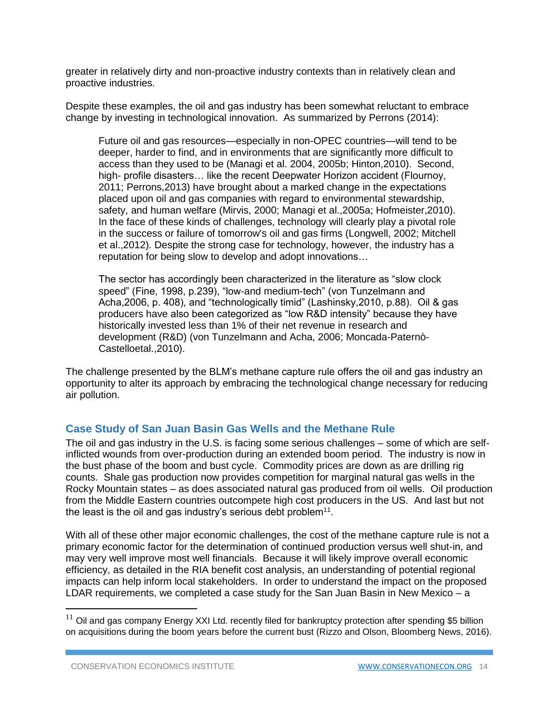greater in relatively dirty and non-proactive industry contexts than in relatively clean and proactive industries.

Despite these examples, the oil and gas industry has been somewhat reluctant to embrace change by investing in technological innovation. As summarized by Perrons (2014):

Future oil and gas resources—especially in non-OPEC countries—will tend to be deeper, harder to find, and in environments that are significantly more difficult to access than they used to be (Managi et al. 2004, 2005b; Hinton,2010). Second, high- profile disasters… like the recent Deepwater Horizon accident (Flournoy, 2011; Perrons,2013) have brought about a marked change in the expectations placed upon oil and gas companies with regard to environmental stewardship, safety, and human welfare (Mirvis, 2000; Managi et al.,2005a; Hofmeister,2010). In the face of these kinds of challenges, technology will clearly play a pivotal role in the success or failure of tomorrow's oil and gas firms (Longwell, 2002; Mitchell et al.,2012). Despite the strong case for technology, however, the industry has a reputation for being slow to develop and adopt innovations…

The sector has accordingly been characterized in the literature as "slow clock speed" (Fine, 1998, p.239), "low-and medium-tech" (von Tunzelmann and Acha,2006, p. 408), and "technologically timid" (Lashinsky,2010, p.88). Oil & gas producers have also been categorized as "low R&D intensity" because they have historically invested less than 1% of their net revenue in research and development (R&D) (von Tunzelmann and Acha, 2006; Moncada-Paternò-Castelloetal.,2010).

The challenge presented by the BLM's methane capture rule offers the oil and gas industry an opportunity to alter its approach by embracing the technological change necessary for reducing air pollution.

## **Case Study of San Juan Basin Gas Wells and the Methane Rule**

The oil and gas industry in the U.S. is facing some serious challenges – some of which are selfinflicted wounds from over-production during an extended boom period. The industry is now in the bust phase of the boom and bust cycle. Commodity prices are down as are drilling rig counts. Shale gas production now provides competition for marginal natural gas wells in the Rocky Mountain states – as does associated natural gas produced from oil wells. Oil production from the Middle Eastern countries outcompete high cost producers in the US. And last but not the least is the oil and gas industry's serious debt problem $11$ .

With all of these other major economic challenges, the cost of the methane capture rule is not a primary economic factor for the determination of continued production versus well shut-in, and may very well improve most well financials. Because it will likely improve overall economic efficiency, as detailed in the RIA benefit cost analysis, an understanding of potential regional impacts can help inform local stakeholders. In order to understand the impact on the proposed LDAR requirements, we completed a case study for the San Juan Basin in New Mexico  $-$  a

l

 $11$  Oil and gas company Energy XXI Ltd. recently filed for bankruptcy protection after spending \$5 billion on acquisitions during the boom years before the current bust (Rizzo and Olson, Bloomberg News, 2016).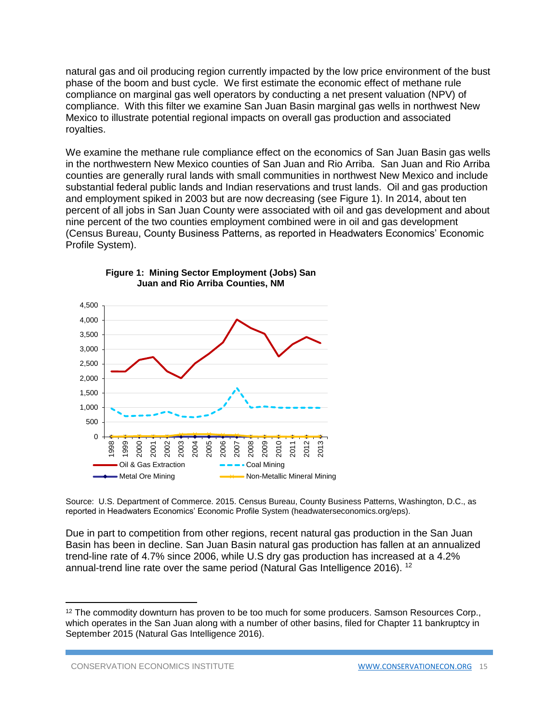natural gas and oil producing region currently impacted by the low price environment of the bust phase of the boom and bust cycle. We first estimate the economic effect of methane rule compliance on marginal gas well operators by conducting a net present valuation (NPV) of compliance. With this filter we examine San Juan Basin marginal gas wells in northwest New Mexico to illustrate potential regional impacts on overall gas production and associated royalties.

We examine the methane rule compliance effect on the economics of San Juan Basin gas wells in the northwestern New Mexico counties of San Juan and Rio Arriba. San Juan and Rio Arriba counties are generally rural lands with small communities in northwest New Mexico and include substantial federal public lands and Indian reservations and trust lands. Oil and gas production and employment spiked in 2003 but are now decreasing (see Figure 1). In 2014, about ten percent of all jobs in San Juan County were associated with oil and gas development and about nine percent of the two counties employment combined were in oil and gas development (Census Bureau, County Business Patterns, as reported in Headwaters Economics' Economic Profile System).





Source: U.S. Department of Commerce. 2015. Census Bureau, County Business Patterns, Washington, D.C., as reported in Headwaters Economics' Economic Profile System (headwaterseconomics.org/eps).

Due in part to competition from other regions, recent natural gas production in the San Juan Basin has been in decline. San Juan Basin natural gas production has fallen at an annualized trend-line rate of 4.7% since 2006, while U.S dry gas production has increased at a 4.2% annual-trend line rate over the same period (Natural Gas Intelligence 2016). <sup>12</sup>

 $\overline{\phantom{a}}$ 

<sup>&</sup>lt;sup>12</sup> The commodity downturn has proven to be too much for some producers. Samson Resources Corp., which operates in the San Juan along with a number of other basins, filed for Chapter 11 bankruptcy in September 2015 (Natural Gas Intelligence 2016).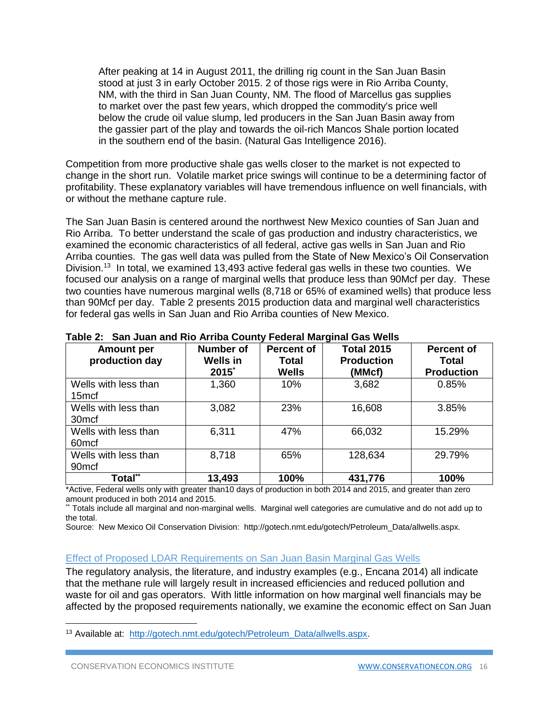After peaking at 14 in August 2011, the drilling rig count in the San Juan Basin stood at just 3 in early October 2015. 2 of those rigs were in Rio Arriba County, NM, with the third in San Juan County, NM. The flood of Marcellus gas supplies to market over the past few years, which dropped the commodity's price well below the crude oil value slump, led producers in the San Juan Basin away from the gassier part of the play and towards the oil-rich Mancos Shale portion located in the southern end of the basin. (Natural Gas Intelligence 2016).

Competition from more productive shale gas wells closer to the market is not expected to change in the short run. Volatile market price swings will continue to be a determining factor of profitability. These explanatory variables will have tremendous influence on well financials, with or without the methane capture rule.

The San Juan Basin is centered around the northwest New Mexico counties of San Juan and Rio Arriba. To better understand the scale of gas production and industry characteristics, we examined the economic characteristics of all federal, active gas wells in San Juan and Rio Arriba counties. The gas well data was pulled from the State of New Mexico's Oil Conservation Division.<sup>13</sup> In total, we examined 13,493 active federal gas wells in these two counties. We focused our analysis on a range of marginal wells that produce less than 90Mcf per day. These two counties have numerous marginal wells (8,718 or 65% of examined wells) that produce less than 90Mcf per day. Table 2 presents 2015 production data and marginal well characteristics for federal gas wells in San Juan and Rio Arriba counties of New Mexico.

| <b>Amount per</b><br>production day       | <b>Number of</b><br><b>Wells in</b><br>2015* | <b>Percent of</b><br>Total<br><b>Wells</b> | <b>Total 2015</b><br><b>Production</b><br>(MMcf) | <b>Percent of</b><br>Total<br><b>Production</b> |
|-------------------------------------------|----------------------------------------------|--------------------------------------------|--------------------------------------------------|-------------------------------------------------|
| Wells with less than<br>15 <sub>mcf</sub> | 1,360                                        | 10%                                        | 3,682                                            | 0.85%                                           |
| Wells with less than<br>30 <sub>mcf</sub> | 3,082                                        | 23%                                        | 16,608                                           | 3.85%                                           |
| Wells with less than<br>60 <sub>mcf</sub> | 6,311                                        | 47%                                        | 66,032                                           | 15.29%                                          |
| Wells with less than<br>90 <sub>mcf</sub> | 8,718                                        | 65%                                        | 128,634                                          | 29.79%                                          |
| Total**                                   | 13,493                                       | 100%                                       | 431,776                                          | 100%                                            |

**Table 2: San Juan and Rio Arriba County Federal Marginal Gas Wells**

\*Active, Federal wells only with greater than10 days of production in both 2014 and 2015, and greater than zero amount produced in both 2014 and 2015.

\*\* Totals include all marginal and non-marginal wells. Marginal well categories are cumulative and do not add up to the total.

Source: New Mexico Oil Conservation Division: http://gotech.nmt.edu/gotech/Petroleum\_Data/allwells.aspx.

#### Effect of Proposed LDAR Requirements on San Juan Basin Marginal Gas Wells

The regulatory analysis, the literature, and industry examples (e.g., Encana 2014) all indicate that the methane rule will largely result in increased efficiencies and reduced pollution and waste for oil and gas operators. With little information on how marginal well financials may be affected by the proposed requirements nationally, we examine the economic effect on San Juan

 $\overline{a}$ 

<sup>13</sup> Available at: [http://gotech.nmt.edu/gotech/Petroleum\\_Data/allwells.aspx.](http://gotech.nmt.edu/gotech/Petroleum_Data/allwells.aspx)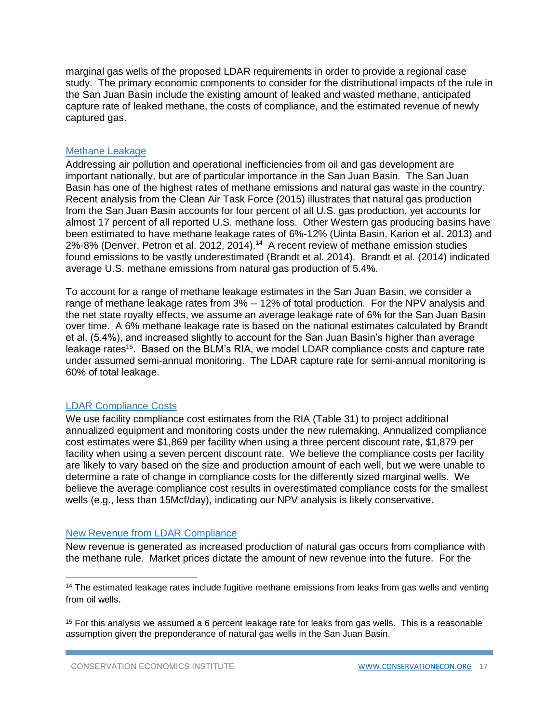marginal gas wells of the proposed LDAR requirements in order to provide a regional case study. The primary economic components to consider for the distributional impacts of the rule in the San Juan Basin include the existing amount of leaked and wasted methane, anticipated capture rate of leaked methane, the costs of compliance, and the estimated revenue of newly captured gas.

#### Methane Leakage

Addressing air pollution and operational inefficiencies from oil and gas development are important nationally, but are of particular importance in the San Juan Basin. The San Juan Basin has one of the highest rates of methane emissions and natural gas waste in the country. Recent analysis from the Clean Air Task Force (2015) illustrates that natural gas production from the San Juan Basin accounts for four percent of all U.S. gas production, yet accounts for almost 17 percent of all reported U.S. methane loss. Other Western gas producing basins have been estimated to have methane leakage rates of 6%-12% (Uinta Basin, Karion et al. 2013) and 2%-8% (Denver, Petron et al. 2012, 2014).<sup>14</sup> A recent review of methane emission studies found emissions to be vastly underestimated (Brandt et al. 2014). Brandt et al. (2014) indicated average U.S. methane emissions from natural gas production of 5.4%.

To account for a range of methane leakage estimates in the San Juan Basin, we consider a range of methane leakage rates from 3% -- 12% of total production. For the NPV analysis and the net state royalty effects, we assume an average leakage rate of 6% for the San Juan Basin over time. A 6% methane leakage rate is based on the national estimates calculated by Brandt et al. (5.4%), and increased slightly to account for the San Juan Basin's higher than average leakage rates<sup>15</sup>. Based on the BLM's RIA, we model LDAR compliance costs and capture rate under assumed semi-annual monitoring. The LDAR capture rate for semi-annual monitoring is 60% of total leakage.

#### LDAR Compliance Costs

 $\overline{a}$ 

We use facility compliance cost estimates from the RIA (Table 31) to project additional annualized equipment and monitoring costs under the new rulemaking. Annualized compliance cost estimates were \$1,869 per facility when using a three percent discount rate, \$1,879 per facility when using a seven percent discount rate. We believe the compliance costs per facility are likely to vary based on the size and production amount of each well, but we were unable to determine a rate of change in compliance costs for the differently sized marginal wells. We believe the average compliance cost results in overestimated compliance costs for the smallest wells (e.g., less than 15Mcf/day), indicating our NPV analysis is likely conservative.

#### New Revenue from LDAR Compliance

New revenue is generated as increased production of natural gas occurs from compliance with the methane rule. Market prices dictate the amount of new revenue into the future. For the

<sup>&</sup>lt;sup>14</sup> The estimated leakage rates include fugitive methane emissions from leaks from gas wells and venting from oil wells.

 $15$  For this analysis we assumed a 6 percent leakage rate for leaks from gas wells. This is a reasonable assumption given the preponderance of natural gas wells in the San Juan Basin.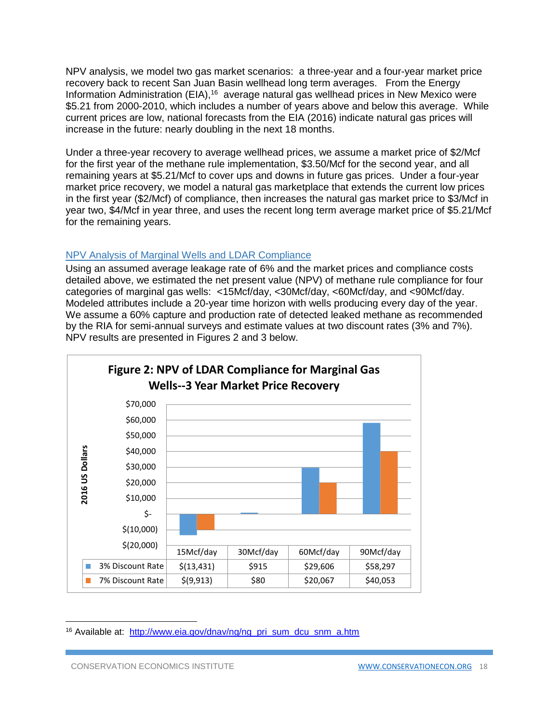NPV analysis, we model two gas market scenarios: a three-year and a four-year market price recovery back to recent San Juan Basin wellhead long term averages. From the Energy Information Administration (EIA),<sup>16</sup> average natural gas wellhead prices in New Mexico were \$5.21 from 2000-2010, which includes a number of years above and below this average. While current prices are low, national forecasts from the EIA (2016) indicate natural gas prices will increase in the future: nearly doubling in the next 18 months.

Under a three-year recovery to average wellhead prices, we assume a market price of \$2/Mcf for the first year of the methane rule implementation, \$3.50/Mcf for the second year, and all remaining years at \$5.21/Mcf to cover ups and downs in future gas prices. Under a four-year market price recovery, we model a natural gas marketplace that extends the current low prices in the first year (\$2/Mcf) of compliance, then increases the natural gas market price to \$3/Mcf in year two, \$4/Mcf in year three, and uses the recent long term average market price of \$5.21/Mcf for the remaining years.

## NPV Analysis of Marginal Wells and LDAR Compliance

Using an assumed average leakage rate of 6% and the market prices and compliance costs detailed above, we estimated the net present value (NPV) of methane rule compliance for four categories of marginal gas wells: <15Mcf/day, <30Mcf/day, <60Mcf/day, and <90Mcf/day. Modeled attributes include a 20-year time horizon with wells producing every day of the year. We assume a 60% capture and production rate of detected leaked methane as recommended by the RIA for semi-annual surveys and estimate values at two discount rates (3% and 7%). NPV results are presented in Figures 2 and 3 below.



<sup>&</sup>lt;sup>16</sup> Available at: http://www.eia.gov/dnav/ng/ng\_pri\_sum\_dcu\_snm\_a.htm

 $\overline{a}$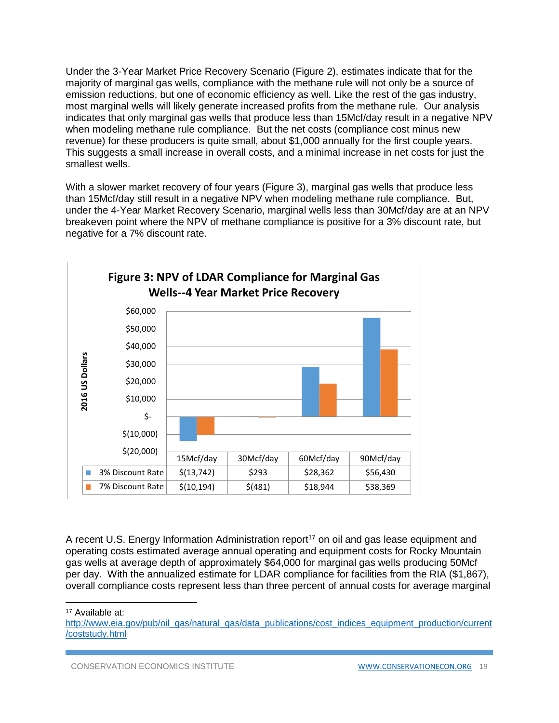Under the 3-Year Market Price Recovery Scenario (Figure 2), estimates indicate that for the majority of marginal gas wells, compliance with the methane rule will not only be a source of emission reductions, but one of economic efficiency as well. Like the rest of the gas industry, most marginal wells will likely generate increased profits from the methane rule. Our analysis indicates that only marginal gas wells that produce less than 15Mcf/day result in a negative NPV when modeling methane rule compliance. But the net costs (compliance cost minus new revenue) for these producers is quite small, about \$1,000 annually for the first couple years. This suggests a small increase in overall costs, and a minimal increase in net costs for just the smallest wells.

With a slower market recovery of four years (Figure 3), marginal gas wells that produce less than 15Mcf/day still result in a negative NPV when modeling methane rule compliance. But, under the 4-Year Market Recovery Scenario, marginal wells less than 30Mcf/day are at an NPV breakeven point where the NPV of methane compliance is positive for a 3% discount rate, but negative for a 7% discount rate.



A recent U.S. Energy Information Administration report<sup>17</sup> on oil and gas lease equipment and operating costs estimated average annual operating and equipment costs for Rocky Mountain gas wells at average depth of approximately \$64,000 for marginal gas wells producing 50Mcf per day. With the annualized estimate for LDAR compliance for facilities from the RIA (\$1,867), overall compliance costs represent less than three percent of annual costs for average marginal

<sup>17</sup> Available at:

 $\overline{\phantom{a}}$ 

[http://www.eia.gov/pub/oil\\_gas/natural\\_gas/data\\_publications/cost\\_indices\\_equipment\\_production/current](http://www.eia.gov/pub/oil_gas/natural_gas/data_publications/cost_indices_equipment_production/current/coststudy.html) [/coststudy.html](http://www.eia.gov/pub/oil_gas/natural_gas/data_publications/cost_indices_equipment_production/current/coststudy.html)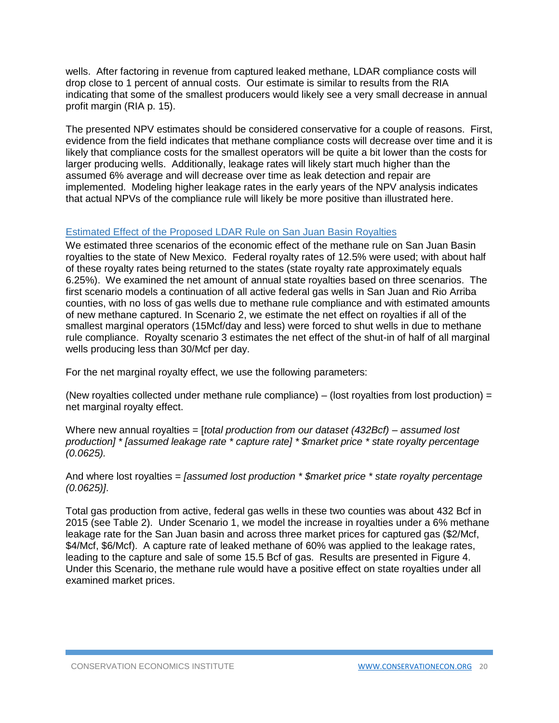wells. After factoring in revenue from captured leaked methane, LDAR compliance costs will drop close to 1 percent of annual costs. Our estimate is similar to results from the RIA indicating that some of the smallest producers would likely see a very small decrease in annual profit margin (RIA p. 15).

The presented NPV estimates should be considered conservative for a couple of reasons. First, evidence from the field indicates that methane compliance costs will decrease over time and it is likely that compliance costs for the smallest operators will be quite a bit lower than the costs for larger producing wells. Additionally, leakage rates will likely start much higher than the assumed 6% average and will decrease over time as leak detection and repair are implemented. Modeling higher leakage rates in the early years of the NPV analysis indicates that actual NPVs of the compliance rule will likely be more positive than illustrated here.

#### Estimated Effect of the Proposed LDAR Rule on San Juan Basin Royalties

We estimated three scenarios of the economic effect of the methane rule on San Juan Basin royalties to the state of New Mexico. Federal royalty rates of 12.5% were used; with about half of these royalty rates being returned to the states (state royalty rate approximately equals 6.25%). We examined the net amount of annual state royalties based on three scenarios. The first scenario models a continuation of all active federal gas wells in San Juan and Rio Arriba counties, with no loss of gas wells due to methane rule compliance and with estimated amounts of new methane captured. In Scenario 2, we estimate the net effect on royalties if all of the smallest marginal operators (15Mcf/day and less) were forced to shut wells in due to methane rule compliance. Royalty scenario 3 estimates the net effect of the shut-in of half of all marginal wells producing less than 30/Mcf per day.

For the net marginal royalty effect, we use the following parameters:

(New royalties collected under methane rule compliance) – (lost royalties from lost production) = net marginal royalty effect.

Where new annual royalties = [*total production from our dataset (432Bcf) – assumed lost production] \* [assumed leakage rate \* capture rate] \* \$market price \* state royalty percentage (0.0625).*

And where lost royalties = *[assumed lost production \* \$market price \* state royalty percentage (0.0625)]*.

Total gas production from active, federal gas wells in these two counties was about 432 Bcf in 2015 (see Table 2). Under Scenario 1, we model the increase in royalties under a 6% methane leakage rate for the San Juan basin and across three market prices for captured gas (\$2/Mcf, \$4/Mcf, \$6/Mcf). A capture rate of leaked methane of 60% was applied to the leakage rates, leading to the capture and sale of some 15.5 Bcf of gas. Results are presented in Figure 4. Under this Scenario, the methane rule would have a positive effect on state royalties under all examined market prices.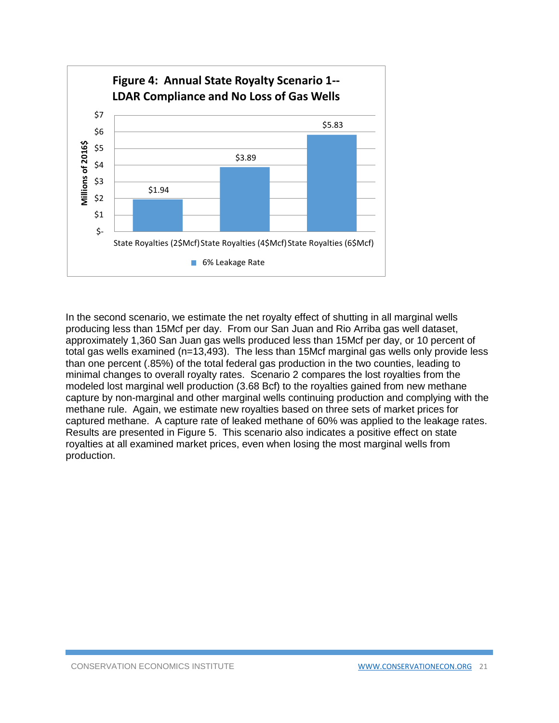

In the second scenario, we estimate the net royalty effect of shutting in all marginal wells producing less than 15Mcf per day. From our San Juan and Rio Arriba gas well dataset, approximately 1,360 San Juan gas wells produced less than 15Mcf per day, or 10 percent of total gas wells examined (n=13,493). The less than 15Mcf marginal gas wells only provide less than one percent (.85%) of the total federal gas production in the two counties, leading to minimal changes to overall royalty rates. Scenario 2 compares the lost royalties from the modeled lost marginal well production (3.68 Bcf) to the royalties gained from new methane capture by non-marginal and other marginal wells continuing production and complying with the methane rule. Again, we estimate new royalties based on three sets of market prices for captured methane. A capture rate of leaked methane of 60% was applied to the leakage rates. Results are presented in Figure 5. This scenario also indicates a positive effect on state royalties at all examined market prices, even when losing the most marginal wells from production.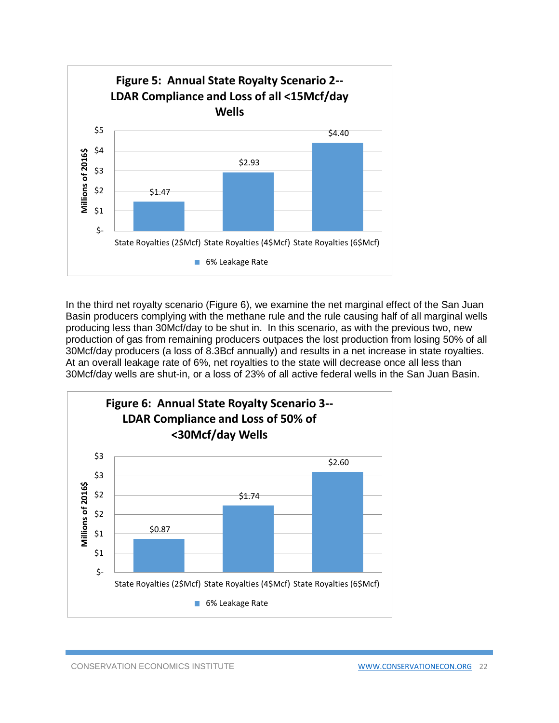

In the third net royalty scenario (Figure 6), we examine the net marginal effect of the San Juan Basin producers complying with the methane rule and the rule causing half of all marginal wells producing less than 30Mcf/day to be shut in. In this scenario, as with the previous two, new production of gas from remaining producers outpaces the lost production from losing 50% of all 30Mcf/day producers (a loss of 8.3Bcf annually) and results in a net increase in state royalties. At an overall leakage rate of 6%, net royalties to the state will decrease once all less than 30Mcf/day wells are shut-in, or a loss of 23% of all active federal wells in the San Juan Basin.

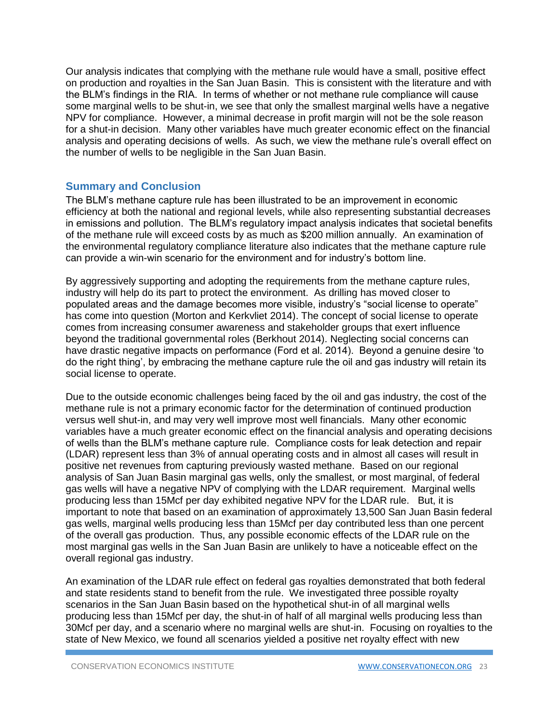Our analysis indicates that complying with the methane rule would have a small, positive effect on production and royalties in the San Juan Basin. This is consistent with the literature and with the BLM's findings in the RIA. In terms of whether or not methane rule compliance will cause some marginal wells to be shut-in, we see that only the smallest marginal wells have a negative NPV for compliance. However, a minimal decrease in profit margin will not be the sole reason for a shut-in decision. Many other variables have much greater economic effect on the financial analysis and operating decisions of wells. As such, we view the methane rule's overall effect on the number of wells to be negligible in the San Juan Basin.

## **Summary and Conclusion**

The BLM's methane capture rule has been illustrated to be an improvement in economic efficiency at both the national and regional levels, while also representing substantial decreases in emissions and pollution. The BLM's regulatory impact analysis indicates that societal benefits of the methane rule will exceed costs by as much as \$200 million annually. An examination of the environmental regulatory compliance literature also indicates that the methane capture rule can provide a win-win scenario for the environment and for industry's bottom line.

By aggressively supporting and adopting the requirements from the methane capture rules, industry will help do its part to protect the environment. As drilling has moved closer to populated areas and the damage becomes more visible, industry's "social license to operate" has come into question (Morton and Kerkvliet 2014). The concept of social license to operate comes from increasing consumer awareness and stakeholder groups that exert influence beyond the traditional governmental roles (Berkhout 2014). Neglecting social concerns can have drastic negative impacts on performance (Ford et al. 2014). Beyond a genuine desire 'to do the right thing', by embracing the methane capture rule the oil and gas industry will retain its social license to operate.

Due to the outside economic challenges being faced by the oil and gas industry, the cost of the methane rule is not a primary economic factor for the determination of continued production versus well shut-in, and may very well improve most well financials. Many other economic variables have a much greater economic effect on the financial analysis and operating decisions of wells than the BLM's methane capture rule. Compliance costs for leak detection and repair (LDAR) represent less than 3% of annual operating costs and in almost all cases will result in positive net revenues from capturing previously wasted methane. Based on our regional analysis of San Juan Basin marginal gas wells, only the smallest, or most marginal, of federal gas wells will have a negative NPV of complying with the LDAR requirement. Marginal wells producing less than 15Mcf per day exhibited negative NPV for the LDAR rule. But, it is important to note that based on an examination of approximately 13,500 San Juan Basin federal gas wells, marginal wells producing less than 15Mcf per day contributed less than one percent of the overall gas production. Thus, any possible economic effects of the LDAR rule on the most marginal gas wells in the San Juan Basin are unlikely to have a noticeable effect on the overall regional gas industry.

An examination of the LDAR rule effect on federal gas royalties demonstrated that both federal and state residents stand to benefit from the rule. We investigated three possible royalty scenarios in the San Juan Basin based on the hypothetical shut-in of all marginal wells producing less than 15Mcf per day, the shut-in of half of all marginal wells producing less than 30Mcf per day, and a scenario where no marginal wells are shut-in. Focusing on royalties to the state of New Mexico, we found all scenarios yielded a positive net royalty effect with new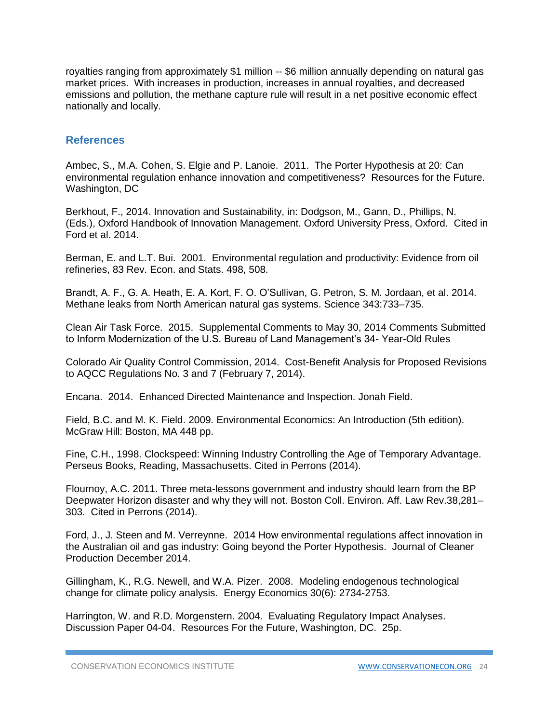royalties ranging from approximately \$1 million -- \$6 million annually depending on natural gas market prices. With increases in production, increases in annual royalties, and decreased emissions and pollution, the methane capture rule will result in a net positive economic effect nationally and locally.

## **References**

Ambec, S., M.A. Cohen, S. Elgie and P. Lanoie. 2011. The Porter Hypothesis at 20: Can environmental regulation enhance innovation and competitiveness? Resources for the Future. Washington, DC

Berkhout, F., 2014. Innovation and Sustainability, in: Dodgson, M., Gann, D., Phillips, N. (Eds.), Oxford Handbook of Innovation Management. Oxford University Press, Oxford. Cited in Ford et al. 2014.

Berman, E. and L.T. Bui. 2001. Environmental regulation and productivity: Evidence from oil refineries, 83 Rev. Econ. and Stats. 498, 508.

Brandt, A. F., G. A. Heath, E. A. Kort, F. O. O'Sullivan, G. Petron, S. M. Jordaan, et al. 2014. Methane leaks from North American natural gas systems. Science 343:733–735.

Clean Air Task Force. 2015. Supplemental Comments to May 30, 2014 Comments Submitted to Inform Modernization of the U.S. Bureau of Land Management's 34- Year-Old Rules

Colorado Air Quality Control Commission, 2014. Cost-Benefit Analysis for Proposed Revisions to AQCC Regulations No. 3 and 7 (February 7, 2014).

Encana. 2014. Enhanced Directed Maintenance and Inspection. Jonah Field.

Field, B.C. and M. K. Field. 2009. Environmental Economics: An Introduction (5th edition). McGraw Hill: Boston, MA 448 pp.

Fine, C.H., 1998. Clockspeed: Winning Industry Controlling the Age of Temporary Advantage. Perseus Books, Reading, Massachusetts. Cited in Perrons (2014).

Flournoy, A.C. 2011. Three meta-lessons government and industry should learn from the BP Deepwater Horizon disaster and why they will not. Boston Coll. Environ. Aff. Law Rev.38,281– 303. Cited in Perrons (2014).

Ford, J., J. Steen and M. Verreynne. 2014 How environmental regulations affect innovation in the Australian oil and gas industry: Going beyond the Porter Hypothesis. Journal of Cleaner Production December 2014.

Gillingham, K., R.G. Newell, and W.A. Pizer. 2008. Modeling endogenous technological change for climate policy analysis. Energy Economics 30(6): 2734-2753.

Harrington, W. and R.D. Morgenstern. 2004. Evaluating Regulatory Impact Analyses. Discussion Paper 04-04. Resources For the Future, Washington, DC. 25p.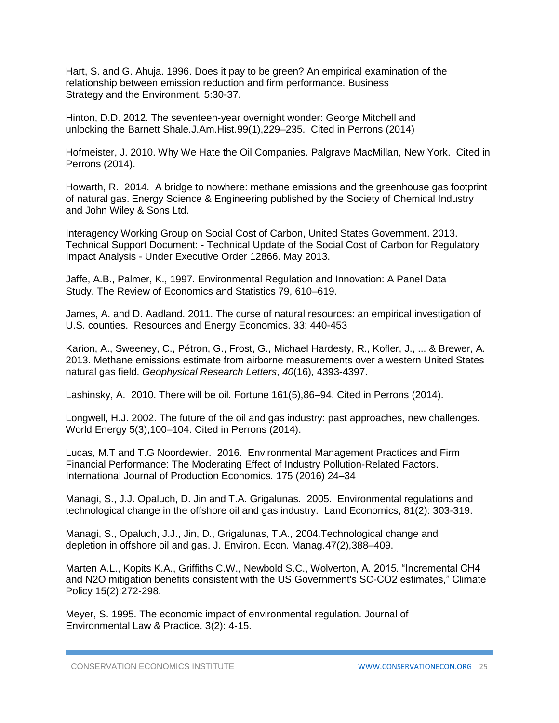Hart, S. and G. Ahuja. 1996. Does it pay to be green? An empirical examination of the relationship between emission reduction and firm performance. Business Strategy and the Environment. 5:30-37.

Hinton, D.D. 2012. The seventeen-year overnight wonder: George Mitchell and unlocking the Barnett Shale.J.Am.Hist.99(1),229–235. Cited in Perrons (2014)

Hofmeister, J. 2010. Why We Hate the Oil Companies. Palgrave MacMillan, New York. Cited in Perrons (2014).

Howarth, R. 2014. A bridge to nowhere: methane emissions and the greenhouse gas footprint of natural gas. Energy Science & Engineering published by the Society of Chemical Industry and John Wiley & Sons Ltd.

Interagency Working Group on Social Cost of Carbon, United States Government. 2013. Technical Support Document: - Technical Update of the Social Cost of Carbon for Regulatory Impact Analysis - Under Executive Order 12866. May 2013.

Jaffe, A.B., Palmer, K., 1997. Environmental Regulation and Innovation: A Panel Data Study. The Review of Economics and Statistics 79, 610–619.

James, A. and D. Aadland. 2011. The curse of natural resources: an empirical investigation of U.S. counties. Resources and Energy Economics. 33: 440-453

Karion, A., Sweeney, C., Pétron, G., Frost, G., Michael Hardesty, R., Kofler, J., ... & Brewer, A. 2013. Methane emissions estimate from airborne measurements over a western United States natural gas field. *Geophysical Research Letters*, *40*(16), 4393-4397.

Lashinsky, A. 2010. There will be oil. Fortune 161(5),86–94. Cited in Perrons (2014).

Longwell, H.J. 2002. The future of the oil and gas industry: past approaches, new challenges. World Energy 5(3),100–104. Cited in Perrons (2014).

Lucas, M.T and T.G Noordewier. 2016. Environmental Management Practices and Firm Financial Performance: The Moderating Effect of Industry Pollution-Related Factors. International Journal of Production Economics. 175 (2016) 24–34

Managi, S., J.J. Opaluch, D. Jin and T.A. Grigalunas. 2005. Environmental regulations and technological change in the offshore oil and gas industry. Land Economics, 81(2): 303-319.

Managi, S., Opaluch, J.J., Jin, D., Grigalunas, T.A., 2004.Technological change and depletion in offshore oil and gas. J. Environ. Econ. Manag.47(2),388–409.

Marten A.L., Kopits K.A., Griffiths C.W., Newbold S.C., Wolverton, A. 2015. "Incremental CH4 and N2O mitigation benefits consistent with the US Government's SC-CO2 estimates," Climate Policy 15(2):272-298.

Meyer, S. 1995. The economic impact of environmental regulation. Journal of Environmental Law & Practice. 3(2): 4-15.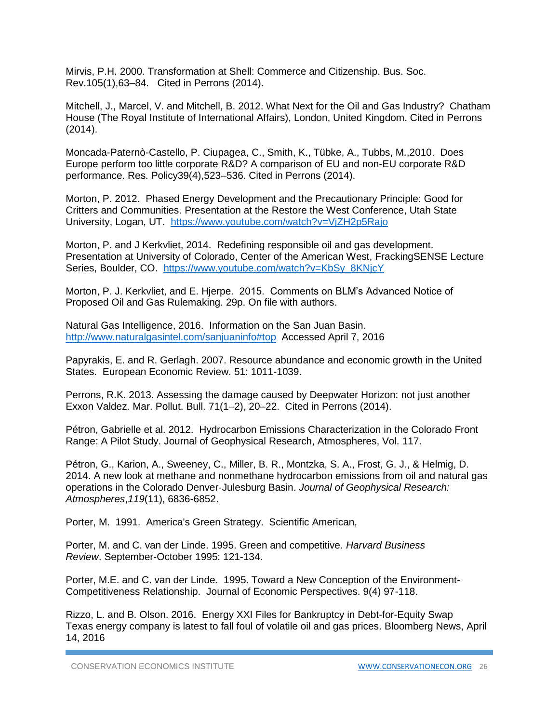Mirvis, P.H. 2000. Transformation at Shell: Commerce and Citizenship. Bus. Soc. Rev.105(1),63–84. Cited in Perrons (2014).

Mitchell, J., Marcel, V. and Mitchell, B. 2012. What Next for the Oil and Gas Industry? Chatham House (The Royal Institute of International Affairs), London, United Kingdom. Cited in Perrons (2014).

Moncada-Paternò-Castello, P. Ciupagea, C., Smith, K., Tübke, A., Tubbs, M.,2010. Does Europe perform too little corporate R&D? A comparison of EU and non-EU corporate R&D performance. Res. Policy39(4),523–536. Cited in Perrons (2014).

Morton, P. 2012. Phased Energy Development and the Precautionary Principle: Good for Critters and Communities. Presentation at the Restore the West Conference, Utah State University, Logan, UT. <https://www.youtube.com/watch?v=VjZH2p5Rajo>

Morton, P. and J Kerkvliet, 2014. Redefining responsible oil and gas development. Presentation at University of Colorado, Center of the American West, FrackingSENSE Lecture Series, Boulder, CO. [https://www.youtube.com/watch?v=KbSy\\_8KNjcY](https://www.youtube.com/watch?v=KbSy_8KNjcY)

Morton, P. J. Kerkvliet, and E. Hjerpe. 2015. Comments on BLM's Advanced Notice of Proposed Oil and Gas Rulemaking. 29p. On file with authors.

Natural Gas Intelligence, 2016. Information on the San Juan Basin. <http://www.naturalgasintel.com/sanjuaninfo#top>Accessed April 7, 2016

Papyrakis, E. and R. Gerlagh. 2007. Resource abundance and economic growth in the United States. European Economic Review. 51: 1011-1039.

Perrons, R.K. 2013. Assessing the damage caused by Deepwater Horizon: not just another Exxon Valdez. Mar. Pollut. Bull. 71(1–2), 20–22. Cited in Perrons (2014).

Pétron, Gabrielle et al. 2012. Hydrocarbon Emissions Characterization in the Colorado Front Range: A Pilot Study. Journal of Geophysical Research, Atmospheres, Vol. 117.

Pétron, G., Karion, A., Sweeney, C., Miller, B. R., Montzka, S. A., Frost, G. J., & Helmig, D. 2014. A new look at methane and nonmethane hydrocarbon emissions from oil and natural gas operations in the Colorado Denver‐Julesburg Basin. *Journal of Geophysical Research: Atmospheres*,*119*(11), 6836-6852.

Porter, M. 1991. America's Green Strategy. Scientific American,

Porter, M. and C. van der Linde. 1995. Green and competitive. *Harvard Business Review*. September-October 1995: 121-134.

Porter, M.E. and C. van der Linde. 1995. Toward a New Conception of the Environment-Competitiveness Relationship. Journal of Economic Perspectives. 9(4) 97-118.

Rizzo, L. and B. Olson. 2016. Energy XXI Files for Bankruptcy in Debt-for-Equity Swap Texas energy company is latest to fall foul of volatile oil and gas prices. Bloomberg News, April 14, 2016